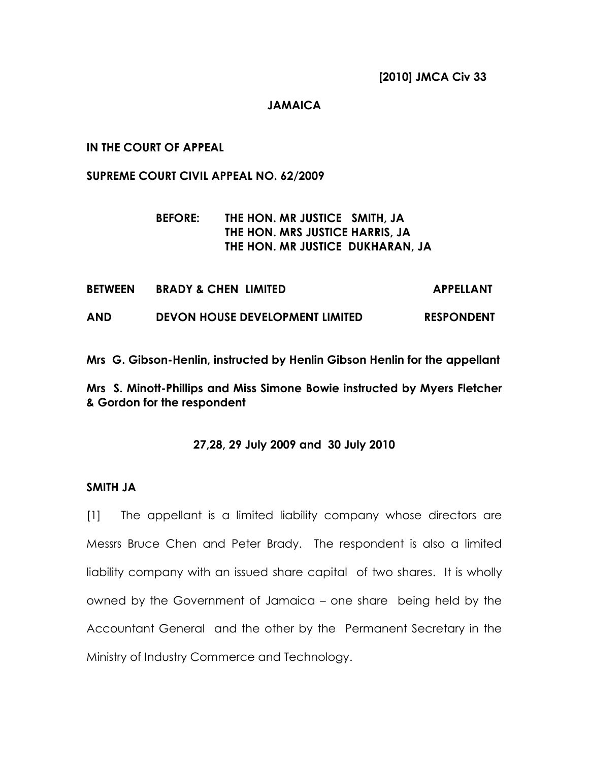#### JAMAICA

#### IN THE COURT OF APPEAL

#### SUPREME COURT CIVIL APPEAL NO. 62/2009

## BEFORE: THE HON. MR JUSTICE SMITH, JA THE HON. MRS JUSTICE HARRIS, JA THE HON. MR JUSTICE DUKHARAN, JA

| <b>BETWEEN</b> | <b>BRADY &amp; CHEN LIMITED</b> | <b>APPELLANT</b>  |
|----------------|---------------------------------|-------------------|
| AND            | DEVON HOUSE DEVELOPMENT LIMITED | <b>RESPONDENT</b> |

Mrs G. Gibson-Henlin, instructed by Henlin Gibson Henlin for the appellant

### Mrs S. Minott-Phillips and Miss Simone Bowie instructed by Myers Fletcher & Gordon for the respondent

#### 27,28, 29 July 2009 and 30 July 2010

#### SMITH JA

[1] The appellant is a limited liability company whose directors are Messrs Bruce Chen and Peter Brady. The respondent is also a limited liability company with an issued share capital of two shares. It is wholly owned by the Government of Jamaica – one share being held by the Accountant General and the other by the Permanent Secretary in the Ministry of Industry Commerce and Technology.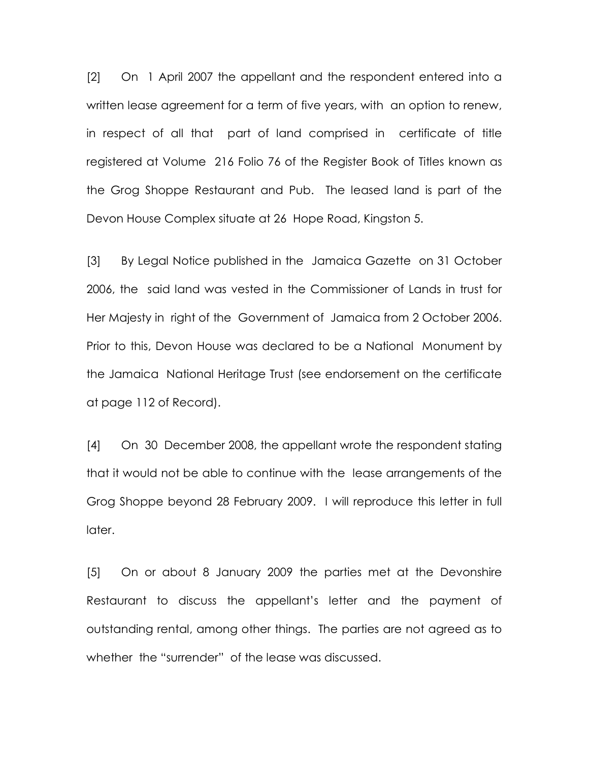[2] On 1 April 2007 the appellant and the respondent entered into a written lease agreement for a term of five years, with an option to renew, in respect of all that part of land comprised in certificate of title registered at Volume 216 Folio 76 of the Register Book of Titles known as the Grog Shoppe Restaurant and Pub. The leased land is part of the Devon House Complex situate at 26 Hope Road, Kingston 5.

[3] By Legal Notice published in the Jamaica Gazette on 31 October 2006, the said land was vested in the Commissioner of Lands in trust for Her Majesty in right of the Government of Jamaica from 2 October 2006. Prior to this, Devon House was declared to be a National Monument by the Jamaica National Heritage Trust (see endorsement on the certificate at page 112 of Record).

[4] On 30 December 2008, the appellant wrote the respondent stating that it would not be able to continue with the lease arrangements of the Grog Shoppe beyond 28 February 2009. I will reproduce this letter in full later.

[5] On or about 8 January 2009 the parties met at the Devonshire Restaurant to discuss the appellant's letter and the payment of outstanding rental, among other things. The parties are not agreed as to whether the "surrender" of the lease was discussed.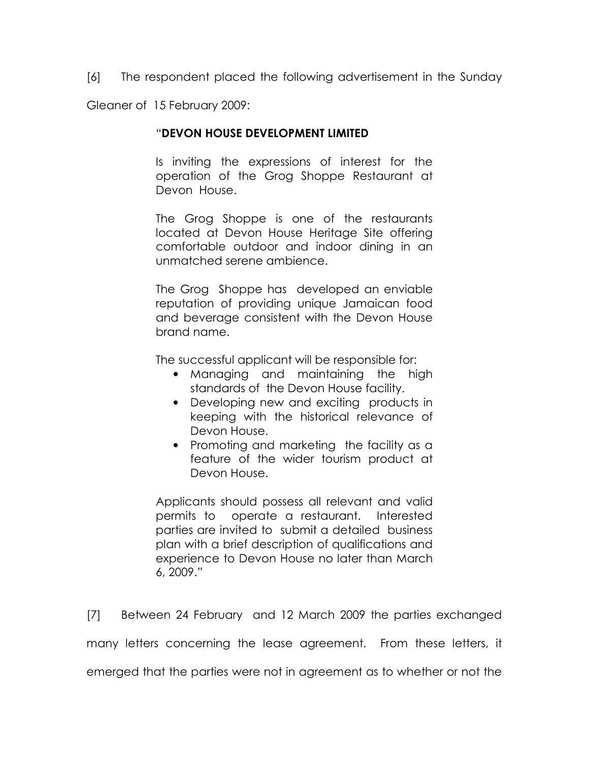[6] The respondent placed the following advertisement in the Sunday

Gleaner of 15 February 2009:

### "DEVON HOUSE DEVELOPMENT LIMITED

Is inviting the expressions of interest for the operation of the Grog Shoppe Restaurant at Devon House.

The Grog Shoppe is one of the restaurants located at Devon House Heritage Site offering comfortable outdoor and indoor dining in an unmatched serene ambience.

The Grog Shoppe has developed an enviable reputation of providing unique Jamaican food and beverage consistent with the Devon House brand name.

The successful applicant will be responsible for:

- Managing and maintaining the high standards of the Devon House facility.
- Developing new and exciting products in keeping with the historical relevance of Devon House.
- Promoting and marketing the facility as a feature of the wider tourism product at Devon House.

Applicants should possess all relevant and valid permits to operate a restaurant. Interested parties are invited to submit a detailed business plan with a brief description of qualifications and experience to Devon House no later than March 6, 2009."

[7] Between 24 February and 12 March 2009 the parties exchanged many letters concerning the lease agreement. From these letters, it emerged that the parties were not in agreement as to whether or not the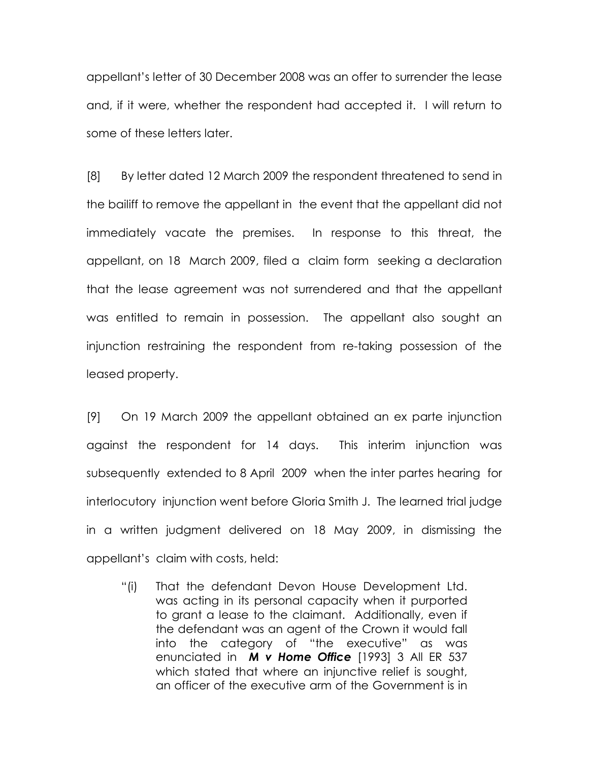appellant's letter of 30 December 2008 was an offer to surrender the lease and, if it were, whether the respondent had accepted it. I will return to some of these letters later.

[8] By letter dated 12 March 2009 the respondent threatened to send in the bailiff to remove the appellant in the event that the appellant did not immediately vacate the premises. In response to this threat, the appellant, on 18 March 2009, filed a claim form seeking a declaration that the lease agreement was not surrendered and that the appellant was entitled to remain in possession. The appellant also sought an injunction restraining the respondent from re-taking possession of the leased property.

[9] On 19 March 2009 the appellant obtained an ex parte injunction against the respondent for 14 days. This interim injunction was subsequently extended to 8 April 2009 when the inter partes hearing for interlocutory injunction went before Gloria Smith J. The learned trial judge in a written judgment delivered on 18 May 2009, in dismissing the appellant's claim with costs, held:

"(i) That the defendant Devon House Development Ltd. was acting in its personal capacity when it purported to grant a lease to the claimant. Additionally, even if the defendant was an agent of the Crown it would fall into the category of "the executive" as was enunciated in **M v Home Office** [1993] 3 All ER 537 which stated that where an injunctive relief is sought, an officer of the executive arm of the Government is in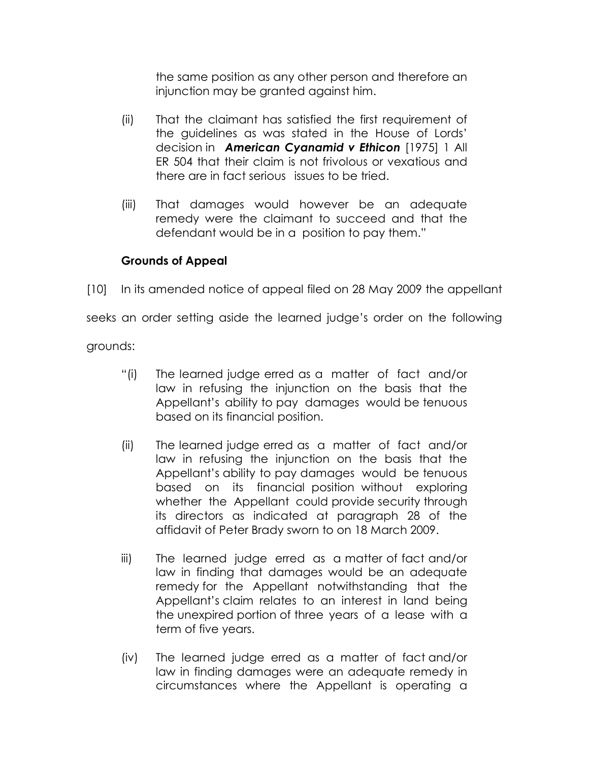the same position as any other person and therefore an injunction may be granted against him.

- (ii) That the claimant has satisfied the first requirement of the guidelines as was stated in the House of Lords' decision in **American Cyanamid v Ethicon** [1975] 1 All ER 504 that their claim is not frivolous or vexatious and there are in fact serious issues to be tried.
- (iii) That damages would however be an adequate remedy were the claimant to succeed and that the defendant would be in a position to pay them."

# Grounds of Appeal

[10] In its amended notice of appeal filed on 28 May 2009 the appellant

seeks an order setting aside the learned judge's order on the following

grounds:

- "(i) The learned judge erred as a matter of fact and/or law in refusing the injunction on the basis that the Appellant's ability to pay damages would be tenuous based on its financial position.
- (ii) The learned judge erred as a matter of fact and/or law in refusing the injunction on the basis that the Appellant's ability to pay damages would be tenuous based on its financial position without exploring whether the Appellant could provide security through its directors as indicated at paragraph 28 of the affidavit of Peter Brady sworn to on 18 March 2009.
- iii) The learned judge erred as a matter of fact and/or law in finding that damages would be an adequate remedy for the Appellant notwithstanding that the Appellant's claim relates to an interest in land being the unexpired portion of three years of a lease with a term of five years.
- (iv) The learned judge erred as a matter of fact and/or law in finding damages were an adequate remedy in circumstances where the Appellant is operating a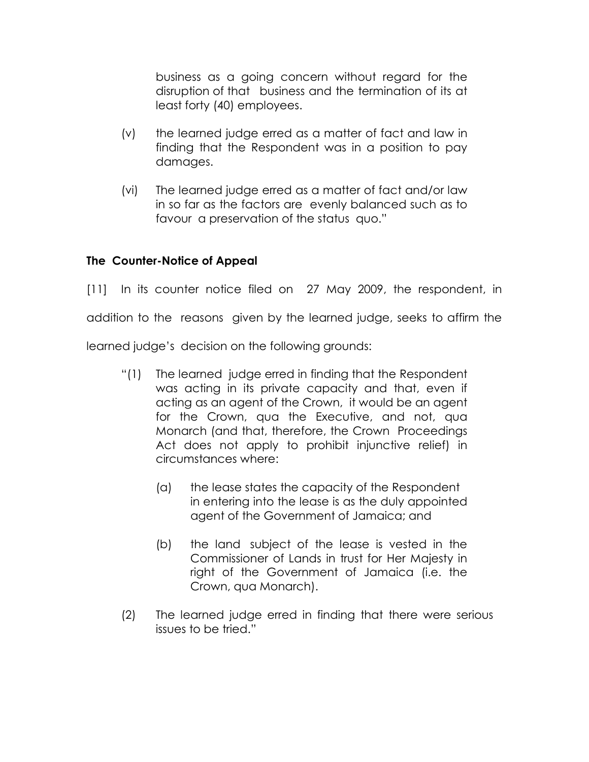business as a going concern without regard for the disruption of that business and the termination of its at least forty (40) employees.

- (v) the learned judge erred as a matter of fact and law in finding that the Respondent was in a position to pay damages.
- (vi) The learned judge erred as a matter of fact and/or law in so far as the factors are evenly balanced such as to favour a preservation of the status quo."

# The Counter-Notice of Appeal

[11] In its counter notice filed on 27 May 2009, the respondent, in addition to the reasons given by the learned judge, seeks to affirm the

learned judge's decision on the following grounds:

- "(1) The learned judge erred in finding that the Respondent was acting in its private capacity and that, even if acting as an agent of the Crown, it would be an agent for the Crown, qua the Executive, and not, qua Monarch (and that, therefore, the Crown Proceedings Act does not apply to prohibit injunctive relief) in circumstances where:
	- (a) the lease states the capacity of the Respondent in entering into the lease is as the duly appointed agent of the Government of Jamaica; and
	- (b) the land subject of the lease is vested in the Commissioner of Lands in trust for Her Majesty in right of the Government of Jamaica (i.e. the Crown, qua Monarch).
- (2) The learned judge erred in finding that there were serious issues to be tried."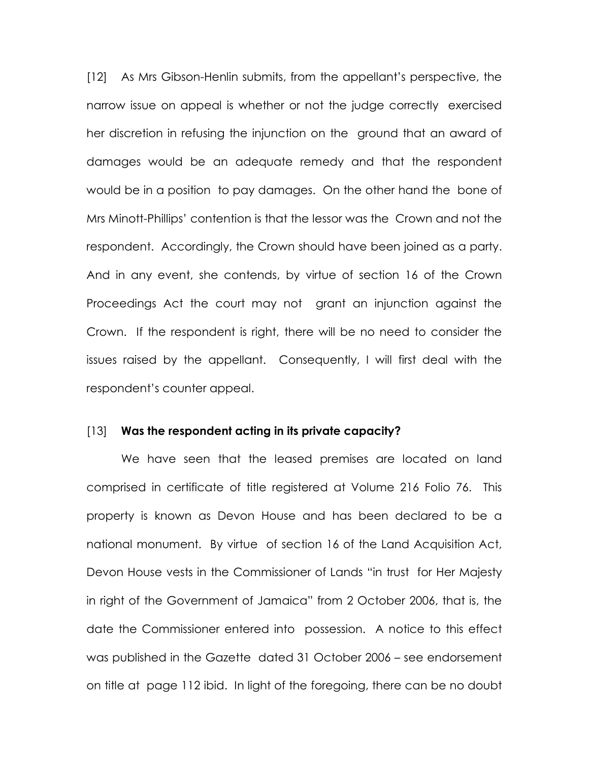[12] As Mrs Gibson-Henlin submits, from the appellant's perspective, the narrow issue on appeal is whether or not the judge correctly exercised her discretion in refusing the injunction on the ground that an award of damages would be an adequate remedy and that the respondent would be in a position to pay damages. On the other hand the bone of Mrs Minott-Phillips' contention is that the lessor was the Crown and not the respondent. Accordingly, the Crown should have been joined as a party. And in any event, she contends, by virtue of section 16 of the Crown Proceedings Act the court may not grant an injunction against the Crown. If the respondent is right, there will be no need to consider the issues raised by the appellant. Consequently, I will first deal with the respondent's counter appeal.

#### [13] Was the respondent acting in its private capacity?

 We have seen that the leased premises are located on land comprised in certificate of title registered at Volume 216 Folio 76. This property is known as Devon House and has been declared to be a national monument. By virtue of section 16 of the Land Acquisition Act, Devon House vests in the Commissioner of Lands "in trust for Her Majesty in right of the Government of Jamaica" from 2 October 2006, that is, the date the Commissioner entered into possession. A notice to this effect was published in the Gazette dated 31 October 2006 – see endorsement on title at page 112 ibid. In light of the foregoing, there can be no doubt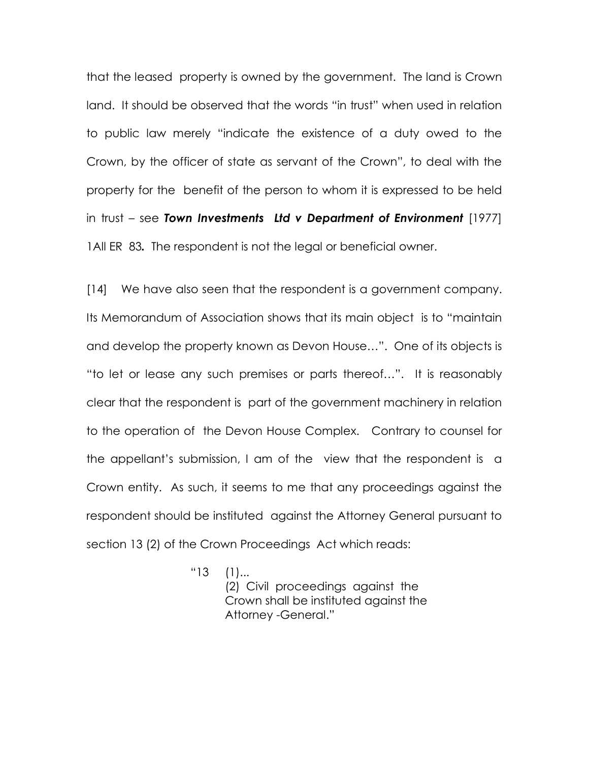that the leased property is owned by the government. The land is Crown land. It should be observed that the words "in trust" when used in relation to public law merely "indicate the existence of a duty owed to the Crown, by the officer of state as servant of the Crown", to deal with the property for the benefit of the person to whom it is expressed to be held in trust – see Town Investments Ltd v Department of Environment [1977] 1All ER 83. The respondent is not the legal or beneficial owner.

[14] We have also seen that the respondent is a government company. Its Memorandum of Association shows that its main object is to "maintain and develop the property known as Devon House…". One of its objects is "to let or lease any such premises or parts thereof…". It is reasonably clear that the respondent is part of the government machinery in relation to the operation of the Devon House Complex. Contrary to counsel for the appellant's submission, I am of the view that the respondent is a Crown entity. As such, it seems to me that any proceedings against the respondent should be instituted against the Attorney General pursuant to section 13 (2) of the Crown Proceedings Act which reads:

"13 (1)...

 (2) Civil proceedings against the Crown shall be instituted against the Attorney -General."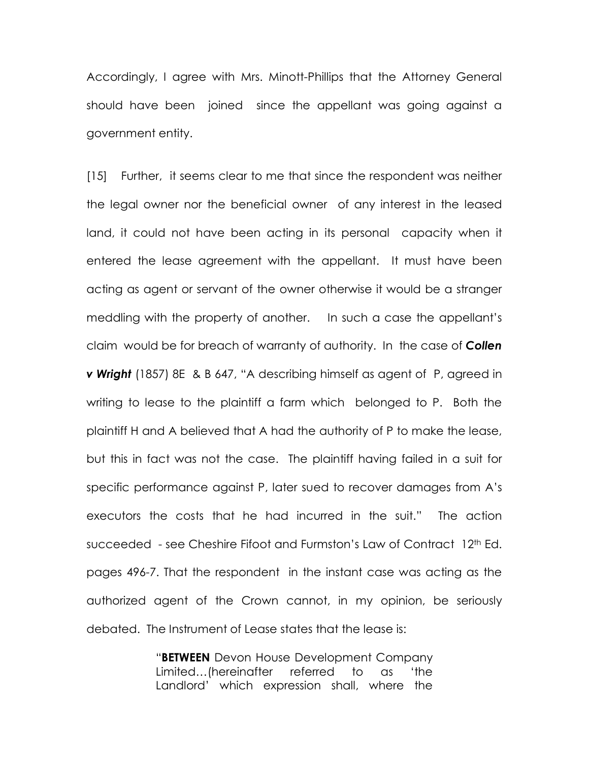Accordingly, I agree with Mrs. Minott-Phillips that the Attorney General should have been joined since the appellant was going against a government entity.

[15] Further, it seems clear to me that since the respondent was neither the legal owner nor the beneficial owner of any interest in the leased land, it could not have been acting in its personal capacity when it entered the lease agreement with the appellant. It must have been acting as agent or servant of the owner otherwise it would be a stranger meddling with the property of another. In such a case the appellant's claim would be for breach of warranty of authority. In the case of **Collen v Wright** (1857) 8E & B 647, "A describing himself as agent of P, agreed in writing to lease to the plaintiff a farm which belonged to P. Both the plaintiff H and A believed that A had the authority of P to make the lease, but this in fact was not the case. The plaintiff having failed in a suit for specific performance against P, later sued to recover damages from A's executors the costs that he had incurred in the suit." The action succeeded - see Cheshire Fifoot and Furmston's Law of Contract 12th Ed. pages 496-7. That the respondent in the instant case was acting as the authorized agent of the Crown cannot, in my opinion, be seriously debated. The Instrument of Lease states that the lease is:

> "BETWEEN Devon House Development Company Limited…(hereinafter referred to as 'the Landlord' which expression shall, where the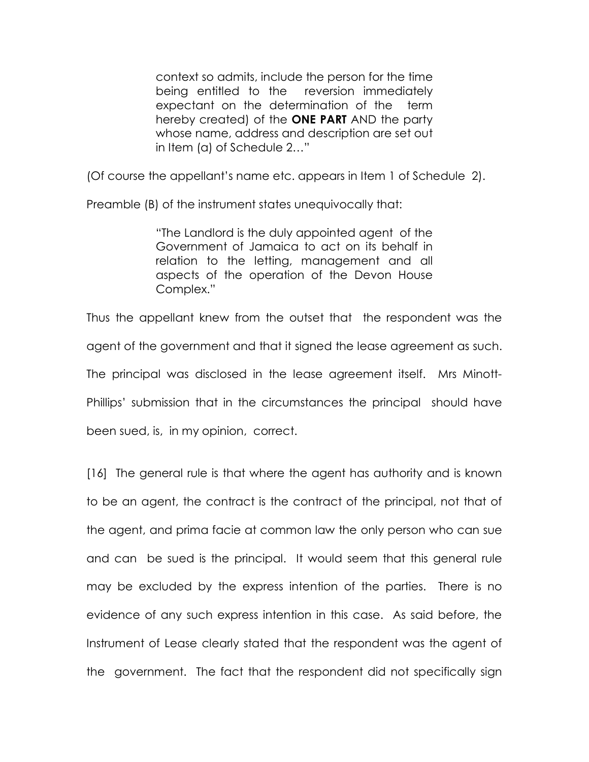context so admits, include the person for the time being entitled to the reversion immediately expectant on the determination of the term hereby created) of the ONE PART AND the party whose name, address and description are set out in Item (a) of Schedule 2…"

(Of course the appellant's name etc. appears in Item 1 of Schedule 2).

Preamble (B) of the instrument states unequivocally that:

"The Landlord is the duly appointed agent of the Government of Jamaica to act on its behalf in relation to the letting, management and all aspects of the operation of the Devon House Complex."

Thus the appellant knew from the outset that the respondent was the agent of the government and that it signed the lease agreement as such. The principal was disclosed in the lease agreement itself. Mrs Minott-Phillips' submission that in the circumstances the principal should have been sued, is, in my opinion, correct.

[16] The general rule is that where the agent has authority and is known to be an agent, the contract is the contract of the principal, not that of the agent, and prima facie at common law the only person who can sue and can be sued is the principal. It would seem that this general rule may be excluded by the express intention of the parties. There is no evidence of any such express intention in this case. As said before, the Instrument of Lease clearly stated that the respondent was the agent of the government. The fact that the respondent did not specifically sign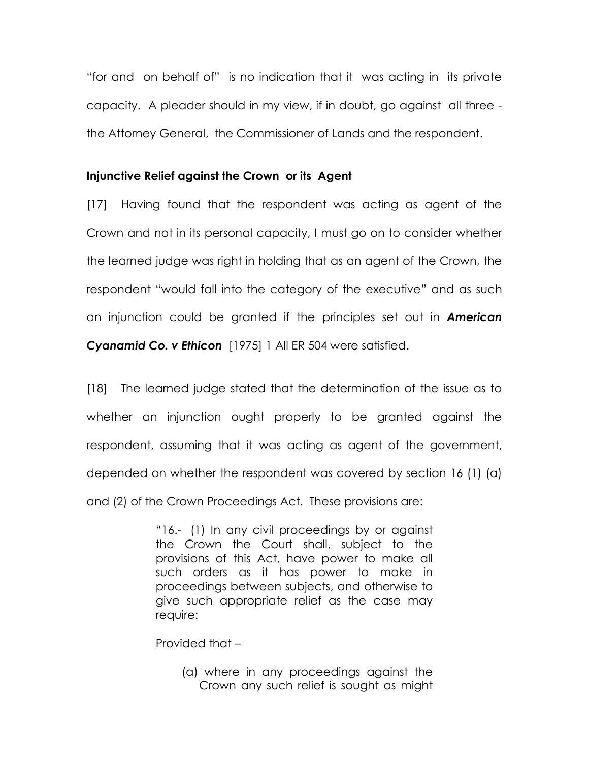"for and on behalf of" is no indication that it was acting in its private capacity. A pleader should in my view, if in doubt, go against all three the Attorney General, the Commissioner of Lands and the respondent.

### Injunctive Relief against the Crown or its Agent

[17] Having found that the respondent was acting as agent of the Crown and not in its personal capacity, I must go on to consider whether the learned judge was right in holding that as an agent of the Crown, the respondent "would fall into the category of the executive" and as such an injunction could be granted if the principles set out in **American** Cyanamid Co. v Ethicon [1975] 1 All ER 504 were satisfied.

[18] The learned judge stated that the determination of the issue as to whether an injunction ought properly to be granted against the respondent, assuming that it was acting as agent of the government, depended on whether the respondent was covered by section 16 (1) (a) and (2) of the Crown Proceedings Act. These provisions are:

> "16.- (1) In any civil proceedings by or against the Crown the Court shall, subject to the provisions of this Act, have power to make all such orders as it has power to make in proceedings between subjects, and otherwise to give such appropriate relief as the case may require:

Provided that –

(a) where in any proceedings against the Crown any such relief is sought as might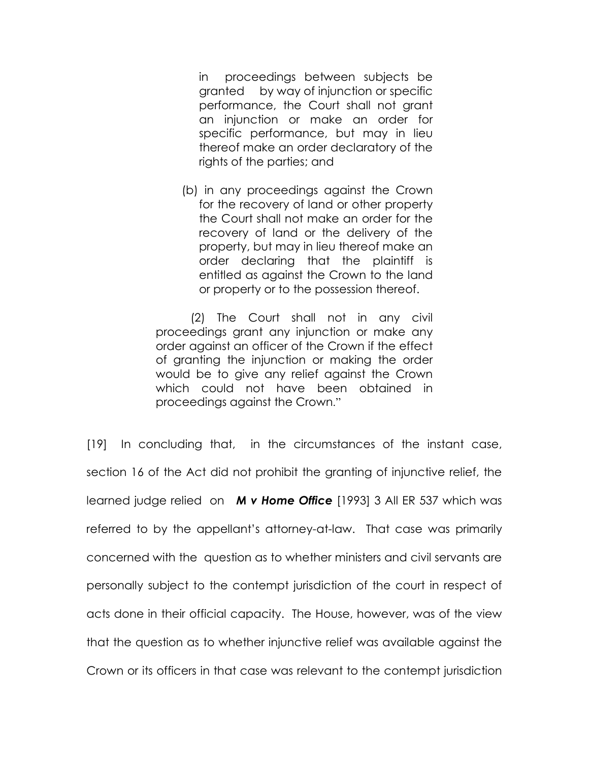in proceedings between subjects be granted by way of injunction or specific performance, the Court shall not grant an injunction or make an order for specific performance, but may in lieu thereof make an order declaratory of the rights of the parties; and

(b) in any proceedings against the Crown for the recovery of land or other property the Court shall not make an order for the recovery of land or the delivery of the property, but may in lieu thereof make an order declaring that the plaintiff is entitled as against the Crown to the land or property or to the possession thereof.

 (2) The Court shall not in any civil proceedings grant any injunction or make any order against an officer of the Crown if the effect of granting the injunction or making the order would be to give any relief against the Crown which could not have been obtained in proceedings against the Crown."

[19] In concluding that, in the circumstances of the instant case, section 16 of the Act did not prohibit the granting of injunctive relief, the learned judge relied on M v Home Office [1993] 3 All ER 537 which was referred to by the appellant's attorney-at-law. That case was primarily concerned with the question as to whether ministers and civil servants are personally subject to the contempt jurisdiction of the court in respect of acts done in their official capacity. The House, however, was of the view that the question as to whether injunctive relief was available against the Crown or its officers in that case was relevant to the contempt jurisdiction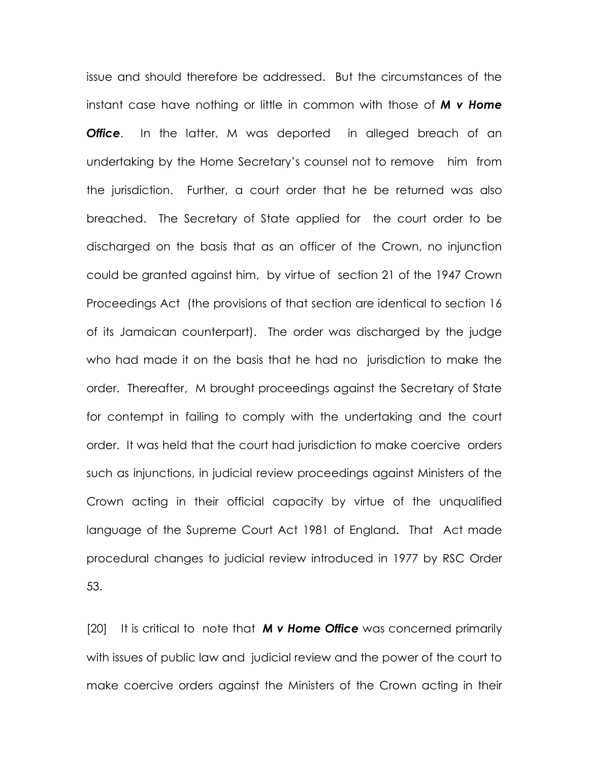issue and should therefore be addressed. But the circumstances of the instant case have nothing or little in common with those of **M v Home Office.** In the latter, M was deported in alleged breach of an undertaking by the Home Secretary's counsel not to remove him from the jurisdiction. Further, a court order that he be returned was also breached. The Secretary of State applied for the court order to be discharged on the basis that as an officer of the Crown, no injunction could be granted against him, by virtue of section 21 of the 1947 Crown Proceedings Act (the provisions of that section are identical to section 16 of its Jamaican counterpart). The order was discharged by the judge who had made it on the basis that he had no jurisdiction to make the order. Thereafter, M brought proceedings against the Secretary of State for contempt in failing to comply with the undertaking and the court order. It was held that the court had jurisdiction to make coercive orders such as injunctions, in judicial review proceedings against Ministers of the Crown acting in their official capacity by virtue of the unqualified language of the Supreme Court Act 1981 of England. That Act made procedural changes to judicial review introduced in 1977 by RSC Order 53.

[20] It is critical to note that  $M \vee H$  one Office was concerned primarily with issues of public law and judicial review and the power of the court to make coercive orders against the Ministers of the Crown acting in their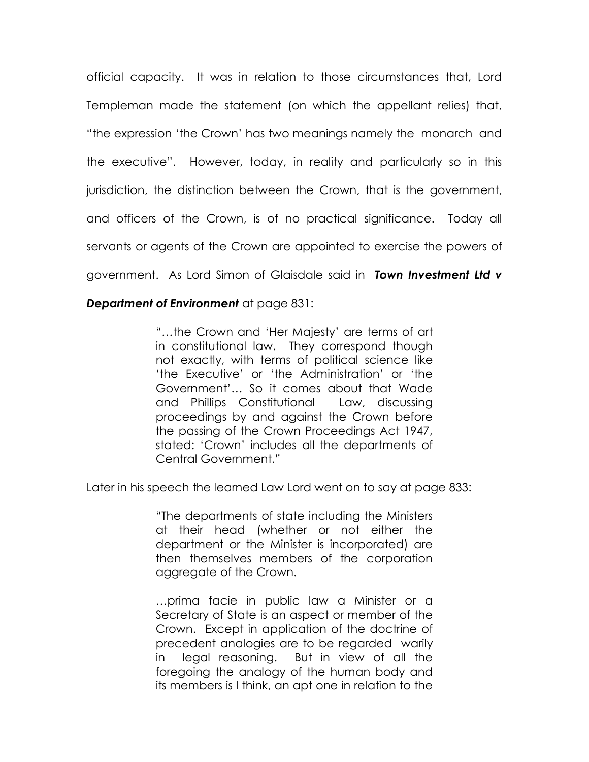official capacity. It was in relation to those circumstances that, Lord Templeman made the statement (on which the appellant relies) that, "the expression 'the Crown' has two meanings namely the monarch and the executive". However, today, in reality and particularly so in this jurisdiction, the distinction between the Crown, that is the government, and officers of the Crown, is of no practical significance. Today all servants or agents of the Crown are appointed to exercise the powers of government. As Lord Simon of Glaisdale said in Town Investment Ltd v

## Department of Environment at page 831:

"…the Crown and 'Her Majesty' are terms of art in constitutional law. They correspond though not exactly, with terms of political science like 'the Executive' or 'the Administration' or 'the Government'… So it comes about that Wade and Phillips Constitutional Law, discussing proceedings by and against the Crown before the passing of the Crown Proceedings Act 1947, stated: 'Crown' includes all the departments of Central Government."

Later in his speech the learned Law Lord went on to say at page 833:

"The departments of state including the Ministers at their head (whether or not either the department or the Minister is incorporated) are then themselves members of the corporation aggregate of the Crown.

…prima facie in public law a Minister or a Secretary of State is an aspect or member of the Crown. Except in application of the doctrine of precedent analogies are to be regarded warily in legal reasoning. But in view of all the foregoing the analogy of the human body and its members is I think, an apt one in relation to the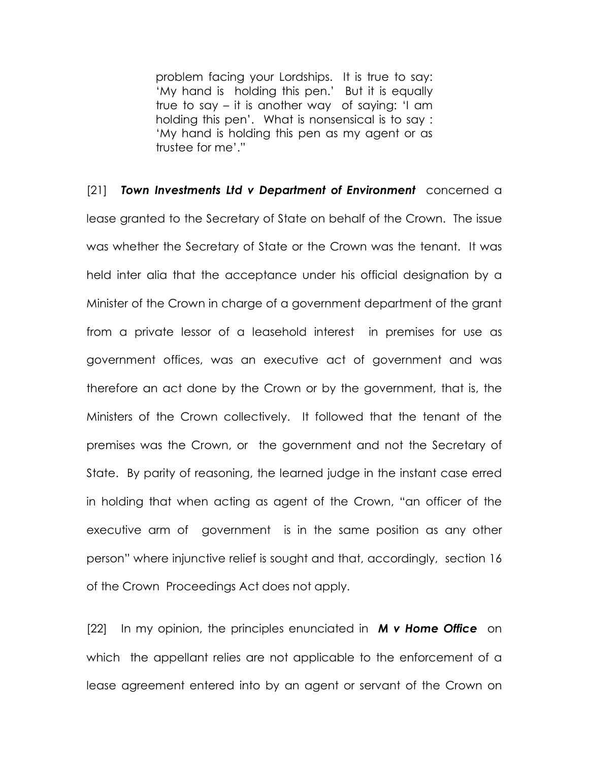problem facing your Lordships. It is true to say: 'My hand is holding this pen.' But it is equally true to say – it is another way of saying: 'I am holding this pen'. What is nonsensical is to say : 'My hand is holding this pen as my agent or as trustee for me'."

[21] Town Investments Ltd v Department of Environment concerned a lease granted to the Secretary of State on behalf of the Crown. The issue was whether the Secretary of State or the Crown was the tenant. It was held inter alia that the acceptance under his official designation by a Minister of the Crown in charge of a government department of the grant from a private lessor of a leasehold interest in premises for use as government offices, was an executive act of government and was therefore an act done by the Crown or by the government, that is, the Ministers of the Crown collectively. It followed that the tenant of the premises was the Crown, or the government and not the Secretary of State. By parity of reasoning, the learned judge in the instant case erred in holding that when acting as agent of the Crown, "an officer of the executive arm of government is in the same position as any other person" where injunctive relief is sought and that, accordingly, section 16 of the Crown Proceedings Act does not apply.

 $[22]$  In my opinion, the principles enunciated in **M v Home Office** on which the appellant relies are not applicable to the enforcement of a lease agreement entered into by an agent or servant of the Crown on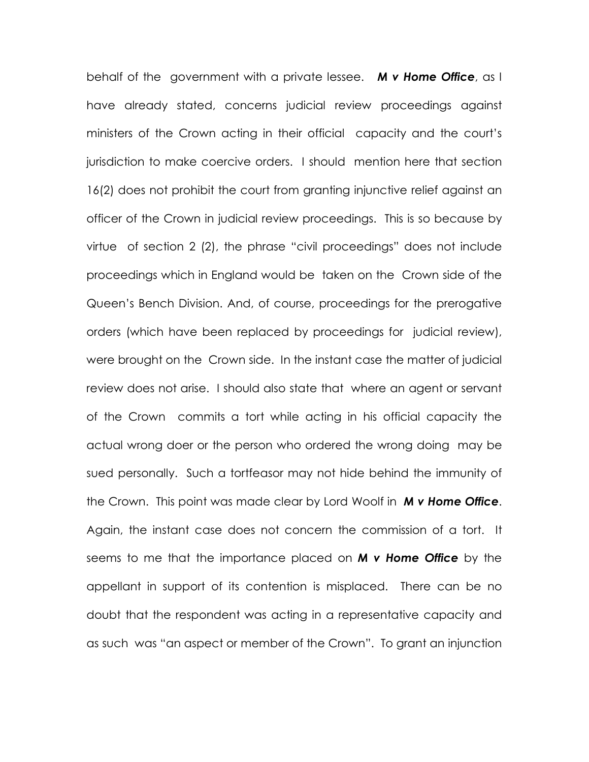behalf of the government with a private lessee. M v Home Office, as I have already stated, concerns judicial review proceedings against ministers of the Crown acting in their official capacity and the court's jurisdiction to make coercive orders. I should mention here that section 16(2) does not prohibit the court from granting injunctive relief against an officer of the Crown in judicial review proceedings. This is so because by virtue of section 2 (2), the phrase "civil proceedings" does not include proceedings which in England would be taken on the Crown side of the Queen's Bench Division. And, of course, proceedings for the prerogative orders (which have been replaced by proceedings for judicial review), were brought on the Crown side. In the instant case the matter of judicial review does not arise. I should also state that where an agent or servant of the Crown commits a tort while acting in his official capacity the actual wrong doer or the person who ordered the wrong doing may be sued personally. Such a tortfeasor may not hide behind the immunity of the Crown. This point was made clear by Lord Woolf in **M v Home Office**. Again, the instant case does not concern the commission of a tort. It seems to me that the importance placed on M v Home Office by the appellant in support of its contention is misplaced. There can be no doubt that the respondent was acting in a representative capacity and as such was "an aspect or member of the Crown". To grant an injunction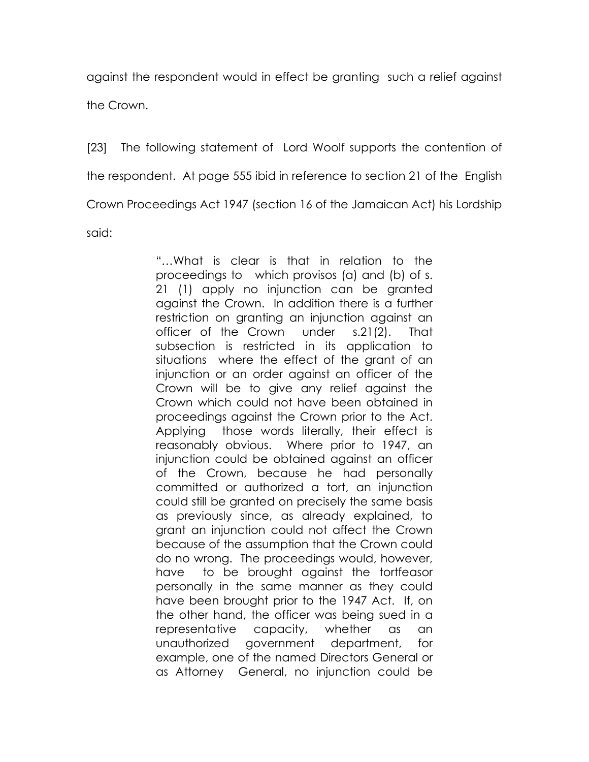against the respondent would in effect be granting such a relief against

the Crown.

[23] The following statement of Lord Woolf supports the contention of the respondent. At page 555 ibid in reference to section 21 of the English Crown Proceedings Act 1947 (section 16 of the Jamaican Act) his Lordship said:

> "…What is clear is that in relation to the proceedings to which provisos (a) and (b) of s. 21 (1) apply no injunction can be granted against the Crown. In addition there is a further restriction on granting an injunction against an officer of the Crown under s.21(2). That subsection is restricted in its application to situations where the effect of the grant of an injunction or an order against an officer of the Crown will be to give any relief against the Crown which could not have been obtained in proceedings against the Crown prior to the Act. Applying those words literally, their effect is reasonably obvious. Where prior to 1947, an injunction could be obtained against an officer of the Crown, because he had personally committed or authorized a tort, an injunction could still be granted on precisely the same basis as previously since, as already explained, to grant an injunction could not affect the Crown because of the assumption that the Crown could do no wrong. The proceedings would, however, have to be brought against the tortfeasor personally in the same manner as they could have been brought prior to the 1947 Act. If, on the other hand, the officer was being sued in a representative capacity, whether as an unauthorized government department, for example, one of the named Directors General or as Attorney General, no injunction could be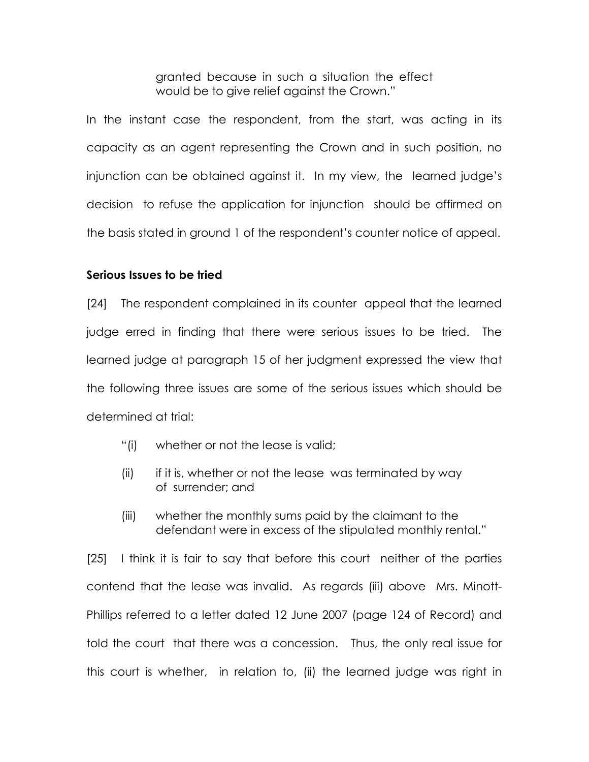granted because in such a situation the effect would be to give relief against the Crown."

In the instant case the respondent, from the start, was acting in its capacity as an agent representing the Crown and in such position, no injunction can be obtained against it. In my view, the learned judge's decision to refuse the application for injunction should be affirmed on the basis stated in ground 1 of the respondent's counter notice of appeal.

### Serious Issues to be tried

[24] The respondent complained in its counter appeal that the learned judge erred in finding that there were serious issues to be tried. The learned judge at paragraph 15 of her judgment expressed the view that the following three issues are some of the serious issues which should be determined at trial:

- "(i) whether or not the lease is valid;
- $(ii)$  if it is, whether or not the lease was terminated by way of surrender; and
- (iii) whether the monthly sums paid by the claimant to the defendant were in excess of the stipulated monthly rental."

[25] I think it is fair to say that before this court neither of the parties contend that the lease was invalid. As regards (iii) above Mrs. Minott-Phillips referred to a letter dated 12 June 2007 (page 124 of Record) and told the court that there was a concession. Thus, the only real issue for this court is whether, in relation to, (ii) the learned judge was right in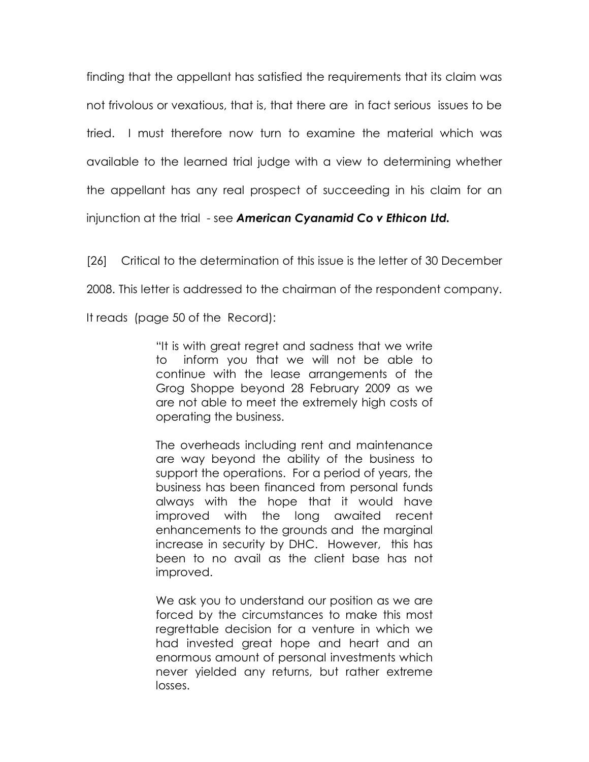finding that the appellant has satisfied the requirements that its claim was not frivolous or vexatious, that is, that there are in fact serious issues to be tried. I must therefore now turn to examine the material which was available to the learned trial judge with a view to determining whether the appellant has any real prospect of succeeding in his claim for an injunction at the trial - see American Cyanamid Co v Ethicon Ltd.

[26] Critical to the determination of this issue is the letter of 30 December 2008. This letter is addressed to the chairman of the respondent company. It reads (page 50 of the Record):

> "It is with great regret and sadness that we write to inform you that we will not be able to continue with the lease arrangements of the Grog Shoppe beyond 28 February 2009 as we are not able to meet the extremely high costs of operating the business.

> The overheads including rent and maintenance are way beyond the ability of the business to support the operations. For a period of years, the business has been financed from personal funds always with the hope that it would have improved with the long awaited recent enhancements to the grounds and the marginal increase in security by DHC. However, this has been to no avail as the client base has not improved.

> We ask you to understand our position as we are forced by the circumstances to make this most regrettable decision for a venture in which we had invested great hope and heart and an enormous amount of personal investments which never yielded any returns, but rather extreme losses.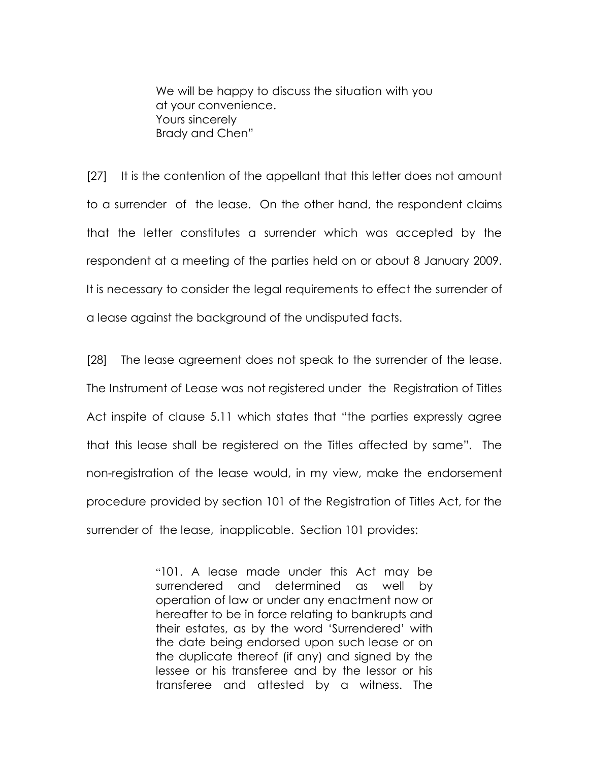We will be happy to discuss the situation with you at your convenience. Yours sincerely Brady and Chen"

[27] It is the contention of the appellant that this letter does not amount to a surrender of the lease. On the other hand, the respondent claims that the letter constitutes a surrender which was accepted by the respondent at a meeting of the parties held on or about 8 January 2009. It is necessary to consider the legal requirements to effect the surrender of a lease against the background of the undisputed facts.

[28] The lease agreement does not speak to the surrender of the lease. The Instrument of Lease was not registered under the Registration of Titles Act inspite of clause 5.11 which states that "the parties expressly agree that this lease shall be registered on the Titles affected by same". The non-registration of the lease would, in my view, make the endorsement procedure provided by section 101 of the Registration of Titles Act, for the surrender of the lease, inapplicable. Section 101 provides:

> "101. A lease made under this Act may be surrendered and determined as well by operation of law or under any enactment now or hereafter to be in force relating to bankrupts and their estates, as by the word 'Surrendered' with the date being endorsed upon such lease or on the duplicate thereof (if any) and signed by the lessee or his transferee and by the lessor or his transferee and attested by a witness. The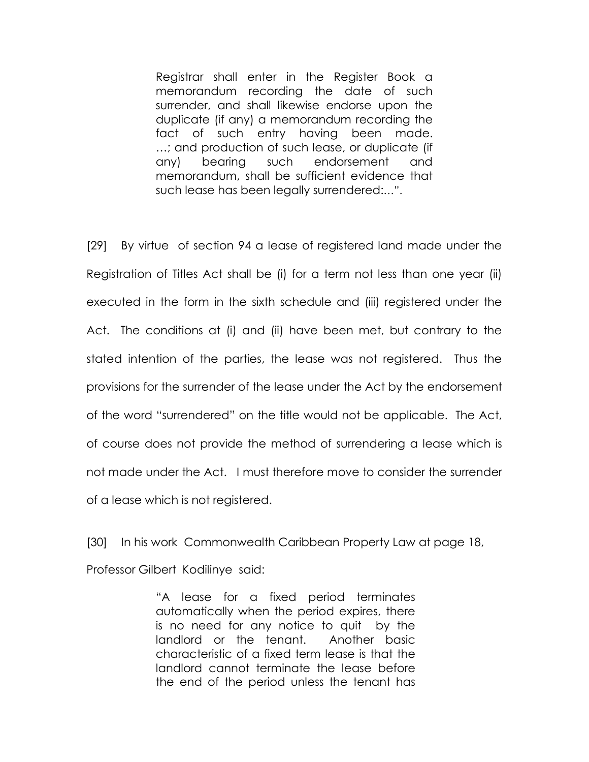Registrar shall enter in the Register Book a memorandum recording the date of such surrender, and shall likewise endorse upon the duplicate (if any) a memorandum recording the fact of such entry having been made. …; and production of such lease, or duplicate (if any) bearing such endorsement and memorandum, shall be sufficient evidence that such lease has been legally surrendered:…".

[29] By virtue of section 94 a lease of registered land made under the Registration of Titles Act shall be (i) for a term not less than one year (ii) executed in the form in the sixth schedule and (iii) registered under the Act. The conditions at (i) and (ii) have been met, but contrary to the stated intention of the parties, the lease was not registered. Thus the provisions for the surrender of the lease under the Act by the endorsement of the word "surrendered" on the title would not be applicable. The Act, of course does not provide the method of surrendering a lease which is not made under the Act. I must therefore move to consider the surrender of a lease which is not registered.

[30] In his work Commonwealth Caribbean Property Law at page 18, Professor Gilbert Kodilinye said:

> "A lease for a fixed period terminates automatically when the period expires, there is no need for any notice to quit by the landlord or the tenant. Another basic characteristic of a fixed term lease is that the landlord cannot terminate the lease before the end of the period unless the tenant has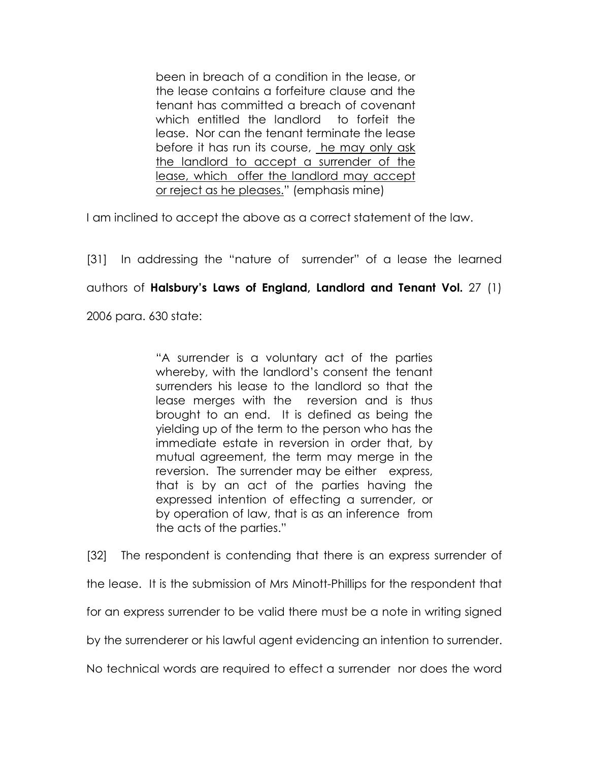been in breach of a condition in the lease, or the lease contains a forfeiture clause and the tenant has committed a breach of covenant which entitled the landlord to forfeit the lease. Nor can the tenant terminate the lease before it has run its course, he may only ask the landlord to accept a surrender of the lease, which offer the landlord may accept or reject as he pleases." (emphasis mine)

I am inclined to accept the above as a correct statement of the law.

[31] In addressing the "nature of surrender" of a lease the learned authors of Halsbury's Laws of England, Landlord and Tenant Vol. 27 (1) 2006 para. 630 state:

> "A surrender is a voluntary act of the parties whereby, with the landlord's consent the tenant surrenders his lease to the landlord so that the lease merges with the reversion and is thus brought to an end. It is defined as being the yielding up of the term to the person who has the immediate estate in reversion in order that, by mutual agreement, the term may merge in the reversion. The surrender may be either express, that is by an act of the parties having the expressed intention of effecting a surrender, or by operation of law, that is as an inference from the acts of the parties."

[32] The respondent is contending that there is an express surrender of the lease. It is the submission of Mrs Minott-Phillips for the respondent that for an express surrender to be valid there must be a note in writing signed

by the surrenderer or his lawful agent evidencing an intention to surrender.

No technical words are required to effect a surrender nor does the word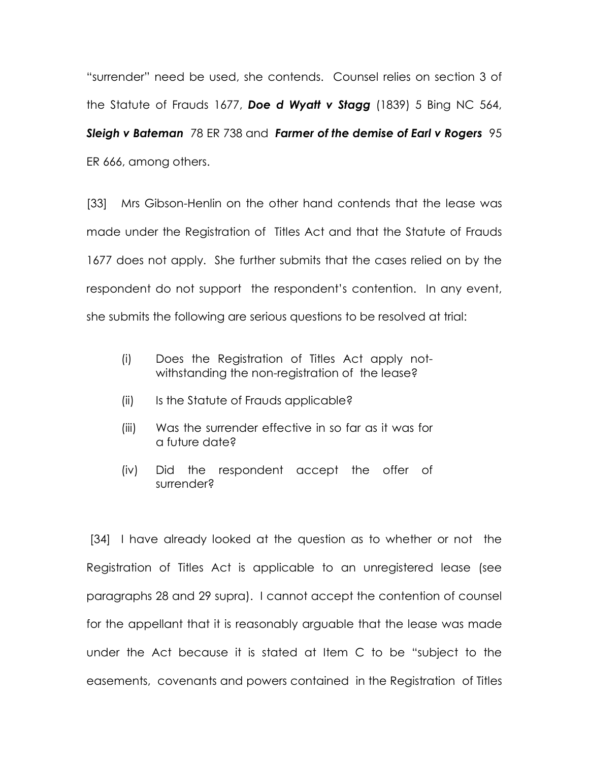"surrender" need be used, she contends. Counsel relies on section 3 of the Statute of Frauds 1677, Doe d Wyatt v Stagg (1839) 5 Bing NC 564, Sleigh v Bateman 78 ER 738 and Farmer of the demise of Earl v Rogers 95 ER 666, among others.

[33] Mrs Gibson-Henlin on the other hand contends that the lease was made under the Registration of Titles Act and that the Statute of Frauds 1677 does not apply. She further submits that the cases relied on by the respondent do not support the respondent's contention. In any event, she submits the following are serious questions to be resolved at trial:

- (i) Does the Registration of Titles Act apply not withstanding the non-registration of the lease?
- (ii) Is the Statute of Frauds applicable?
- (iii) Was the surrender effective in so far as it was for a future date?
- (iv) Did the respondent accept the offer of surrender?

 [34] I have already looked at the question as to whether or not the Registration of Titles Act is applicable to an unregistered lease (see paragraphs 28 and 29 supra). I cannot accept the contention of counsel for the appellant that it is reasonably arguable that the lease was made under the Act because it is stated at Item C to be "subject to the easements, covenants and powers contained in the Registration of Titles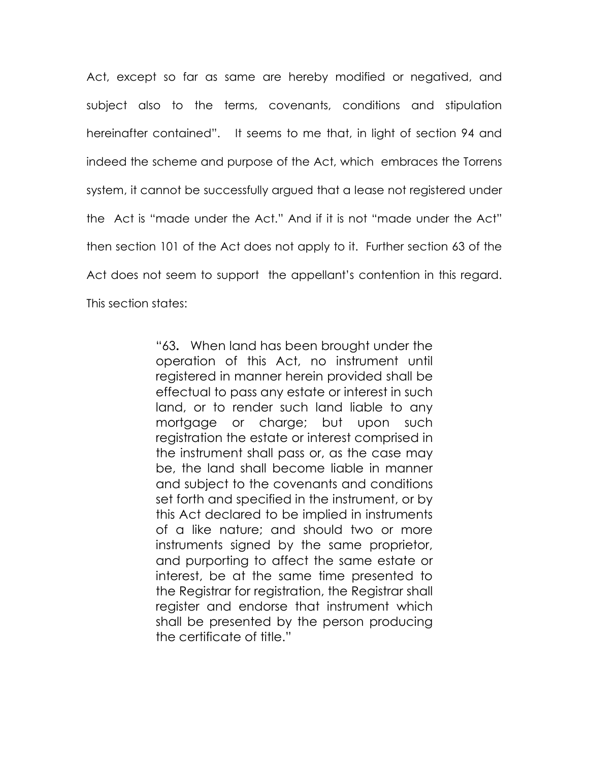Act, except so far as same are hereby modified or negatived, and subject also to the terms, covenants, conditions and stipulation hereinafter contained". It seems to me that, in light of section 94 and indeed the scheme and purpose of the Act, which embraces the Torrens system, it cannot be successfully argued that a lease not registered under the Act is "made under the Act." And if it is not "made under the Act" then section 101 of the Act does not apply to it. Further section 63 of the Act does not seem to support the appellant's contention in this regard. This section states:

> "63. When land has been brought under the operation of this Act, no instrument until registered in manner herein provided shall be effectual to pass any estate or interest in such land, or to render such land liable to any mortgage or charge; but upon such registration the estate or interest comprised in the instrument shall pass or, as the case may be, the land shall become liable in manner and subject to the covenants and conditions set forth and specified in the instrument, or by this Act declared to be implied in instruments of a like nature; and should two or more instruments signed by the same proprietor, and purporting to affect the same estate or interest, be at the same time presented to the Registrar for registration, the Registrar shall register and endorse that instrument which shall be presented by the person producing the certificate of title."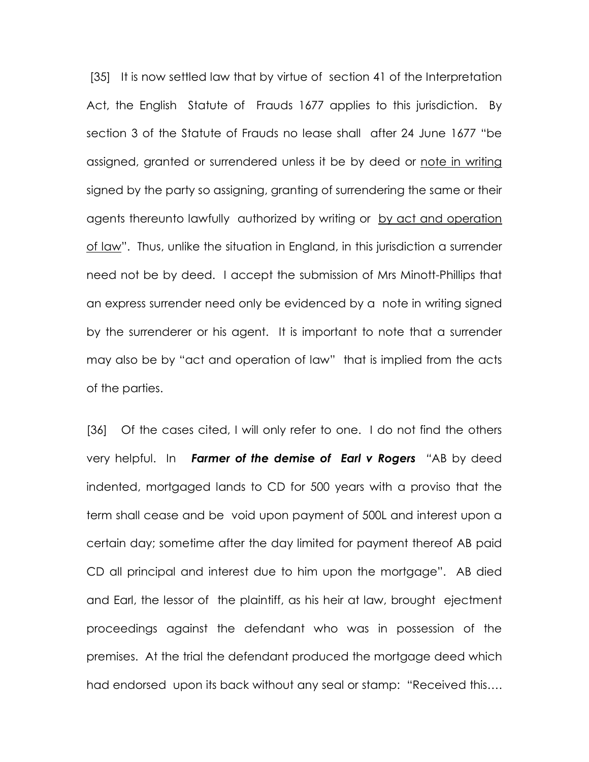[35] It is now settled law that by virtue of section 41 of the Interpretation Act, the English Statute of Frauds 1677 applies to this jurisdiction. By section 3 of the Statute of Frauds no lease shall after 24 June 1677 "be assigned, granted or surrendered unless it be by deed or note in writing signed by the party so assigning, granting of surrendering the same or their agents thereunto lawfully authorized by writing or by act and operation of law". Thus, unlike the situation in England, in this jurisdiction a surrender need not be by deed. I accept the submission of Mrs Minott-Phillips that an express surrender need only be evidenced by a note in writing signed by the surrenderer or his agent. It is important to note that a surrender may also be by "act and operation of law" that is implied from the acts of the parties.

[36] Of the cases cited, I will only refer to one. I do not find the others very helpful. In Farmer of the demise of Earl v Rogers "AB by deed indented, mortgaged lands to CD for 500 years with a proviso that the term shall cease and be void upon payment of 500L and interest upon a certain day; sometime after the day limited for payment thereof AB paid CD all principal and interest due to him upon the mortgage". AB died and Earl, the lessor of the plaintiff, as his heir at law, brought ejectment proceedings against the defendant who was in possession of the premises. At the trial the defendant produced the mortgage deed which had endorsed upon its back without any seal or stamp: "Received this….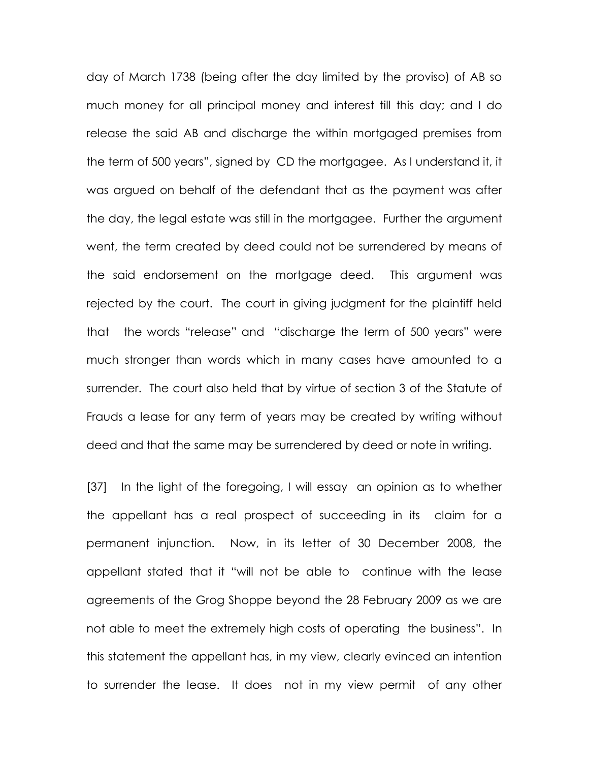day of March 1738 (being after the day limited by the proviso) of AB so much money for all principal money and interest till this day; and I do release the said AB and discharge the within mortgaged premises from the term of 500 years", signed by CD the mortgagee. As I understand it, it was argued on behalf of the defendant that as the payment was after the day, the legal estate was still in the mortgagee. Further the argument went, the term created by deed could not be surrendered by means of the said endorsement on the mortgage deed. This argument was rejected by the court. The court in giving judgment for the plaintiff held that the words "release" and "discharge the term of 500 years" were much stronger than words which in many cases have amounted to a surrender. The court also held that by virtue of section 3 of the Statute of Frauds a lease for any term of years may be created by writing without deed and that the same may be surrendered by deed or note in writing.

[37] In the light of the foregoing, I will essay an opinion as to whether the appellant has a real prospect of succeeding in its claim for a permanent injunction. Now, in its letter of 30 December 2008, the appellant stated that it "will not be able to continue with the lease agreements of the Grog Shoppe beyond the 28 February 2009 as we are not able to meet the extremely high costs of operating the business". In this statement the appellant has, in my view, clearly evinced an intention to surrender the lease. It does not in my view permit of any other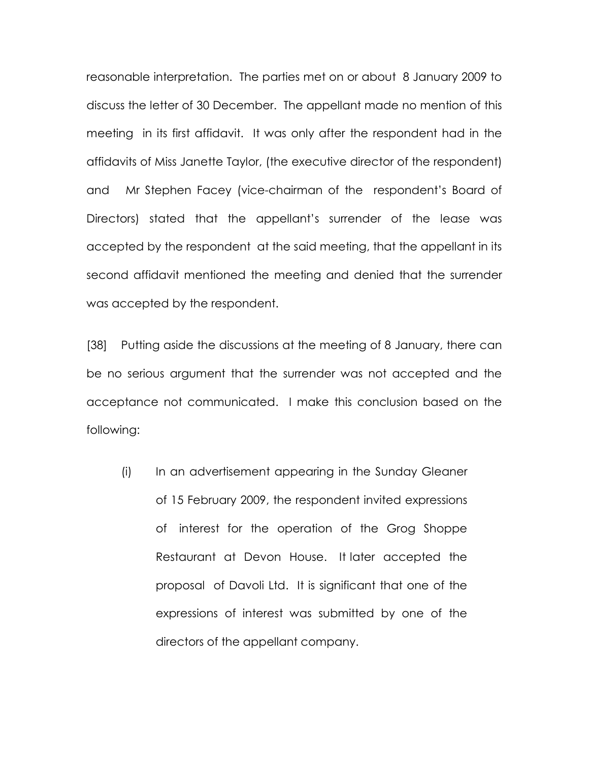reasonable interpretation. The parties met on or about 8 January 2009 to discuss the letter of 30 December. The appellant made no mention of this meeting in its first affidavit. It was only after the respondent had in the affidavits of Miss Janette Taylor, (the executive director of the respondent) and Mr Stephen Facey (vice-chairman of the respondent's Board of Directors) stated that the appellant's surrender of the lease was accepted by the respondent at the said meeting, that the appellant in its second affidavit mentioned the meeting and denied that the surrender was accepted by the respondent.

[38] Putting aside the discussions at the meeting of 8 January, there can be no serious argument that the surrender was not accepted and the acceptance not communicated. I make this conclusion based on the following:

(i) In an advertisement appearing in the Sunday Gleaner of 15 February 2009, the respondent invited expressions of interest for the operation of the Grog Shoppe Restaurant at Devon House. It later accepted the proposal of Davoli Ltd. It is significant that one of the expressions of interest was submitted by one of the directors of the appellant company.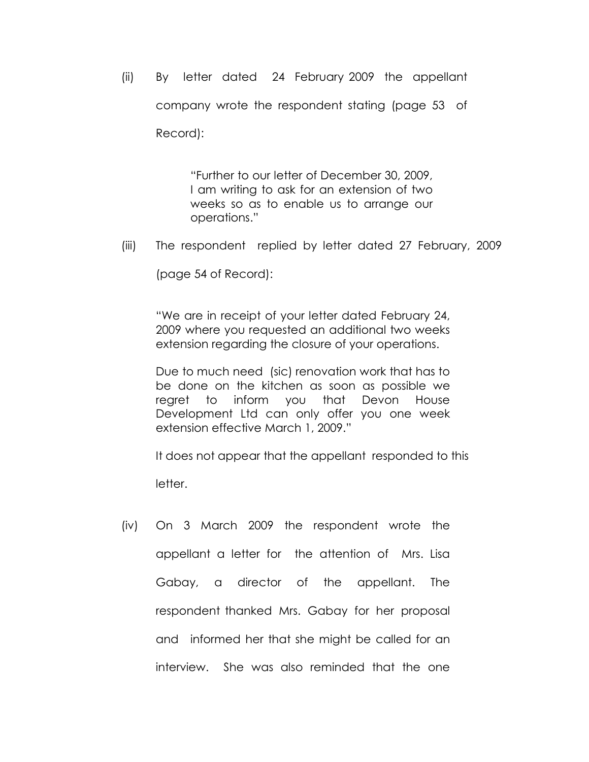(ii) By letter dated 24 February 2009 the appellant company wrote the respondent stating (page 53 of Record):

> "Further to our letter of December 30, 2009, I am writing to ask for an extension of two weeks so as to enable us to arrange our operations."

(iii) The respondent replied by letter dated 27 February, 2009

(page 54 of Record):

"We are in receipt of your letter dated February 24, 2009 where you requested an additional two weeks extension regarding the closure of your operations.

Due to much need (sic) renovation work that has to be done on the kitchen as soon as possible we regret to inform you that Devon House Development Ltd can only offer you one week extension effective March 1, 2009."

It does not appear that the appellant responded to this

letter.

(iv) On 3 March 2009 the respondent wrote the appellant a letter for the attention of Mrs. Lisa Gabay, a director of the appellant. The respondent thanked Mrs. Gabay for her proposal and informed her that she might be called for an interview. She was also reminded that the one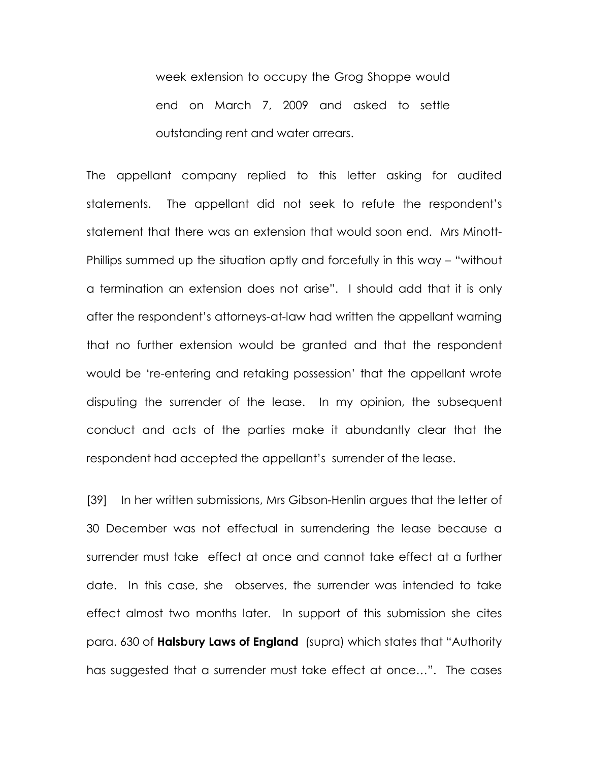week extension to occupy the Grog Shoppe would end on March 7, 2009 and asked to settle outstanding rent and water arrears.

The appellant company replied to this letter asking for audited statements. The appellant did not seek to refute the respondent's statement that there was an extension that would soon end. Mrs Minott-Phillips summed up the situation aptly and forcefully in this way – "without a termination an extension does not arise". I should add that it is only after the respondent's attorneys-at-law had written the appellant warning that no further extension would be granted and that the respondent would be 're-entering and retaking possession' that the appellant wrote disputing the surrender of the lease. In my opinion, the subsequent conduct and acts of the parties make it abundantly clear that the respondent had accepted the appellant's surrender of the lease.

[39] In her written submissions, Mrs Gibson-Henlin argues that the letter of 30 December was not effectual in surrendering the lease because a surrender must take effect at once and cannot take effect at a further date. In this case, she observes, the surrender was intended to take effect almost two months later. In support of this submission she cites para. 630 of Halsbury Laws of England (supra) which states that "Authority has suggested that a surrender must take effect at once…". The cases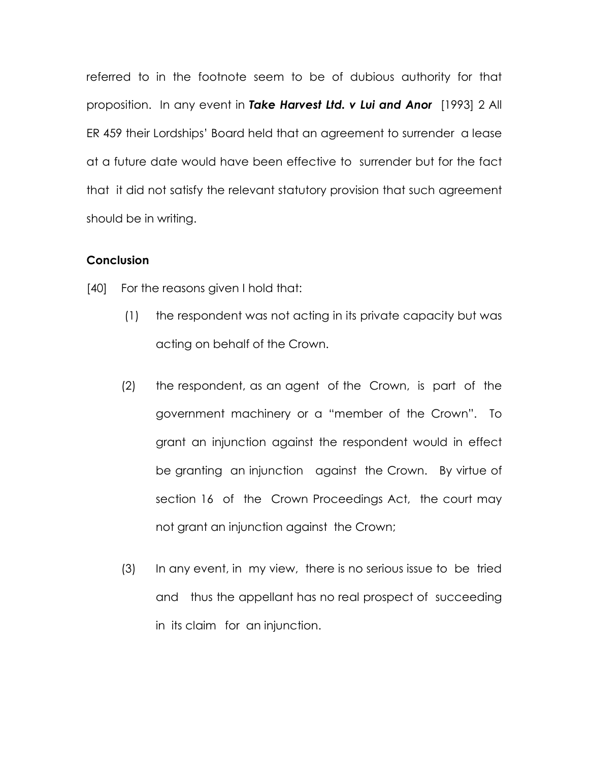referred to in the footnote seem to be of dubious authority for that proposition. In any event in Take Harvest Ltd. v Lui and Anor [1993] 2 All ER 459 their Lordships' Board held that an agreement to surrender a lease at a future date would have been effective to surrender but for the fact that it did not satisfy the relevant statutory provision that such agreement should be in writing.

#### **Conclusion**

[40] For the reasons given I hold that:

- (1) the respondent was not acting in its private capacity but was acting on behalf of the Crown.
- (2) the respondent, as an agent of the Crown, is part of the government machinery or a "member of the Crown". To grant an injunction against the respondent would in effect be granting an injunction against the Crown. By virtue of section 16 of the Crown Proceedings Act, the court may not grant an injunction against the Crown;
- (3) In any event, in my view, there is no serious issue to be tried and thus the appellant has no real prospect of succeeding in its claim for an injunction.